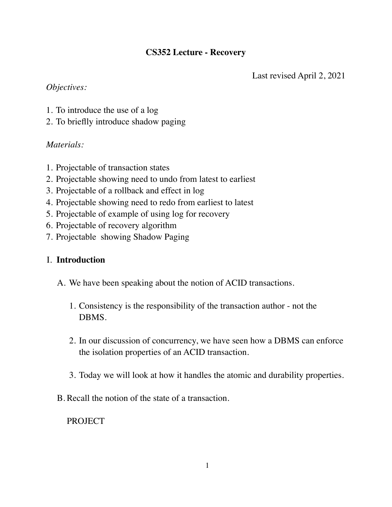## **CS352 Lecture - Recovery**

Last revised April 2, 2021

## *Objectives:*

- 1. To introduce the use of a log
- 2. To brieflly introduce shadow paging

# *Materials:*

- 1. Projectable of transaction states
- 2. Projectable showing need to undo from latest to earliest
- 3. Projectable of a rollback and effect in log
- 4. Projectable showing need to redo from earliest to latest
- 5. Projectable of example of using log for recovery
- 6. Projectable of recovery algorithm
- 7. Projectable showing Shadow Paging

# I. **Introduction**

- A. We have been speaking about the notion of ACID transactions.
	- 1. Consistency is the responsibility of the transaction author not the DBMS.
	- 2. In our discussion of concurrency, we have seen how a DBMS can enforce the isolation properties of an ACID transaction.
	- 3. Today we will look at how it handles the atomic and durability properties.
- B. Recall the notion of the state of a transaction.

**PROJECT**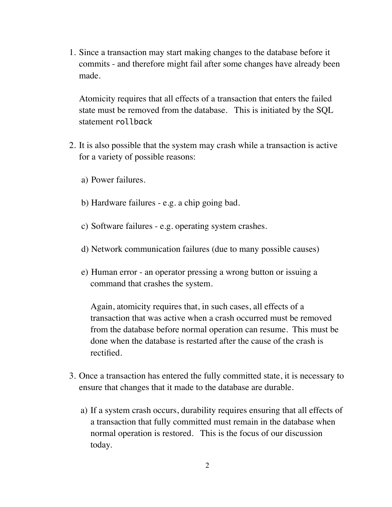1. Since a transaction may start making changes to the database before it commits - and therefore might fail after some changes have already been made.

Atomicity requires that all effects of a transaction that enters the failed state must be removed from the database. This is initiated by the SQL statement rollback

- 2. It is also possible that the system may crash while a transaction is active for a variety of possible reasons:
	- a) Power failures.
	- b) Hardware failures e.g. a chip going bad.
	- c) Software failures e.g. operating system crashes.
	- d) Network communication failures (due to many possible causes)
	- e) Human error an operator pressing a wrong button or issuing a command that crashes the system.

Again, atomicity requires that, in such cases, all effects of a transaction that was active when a crash occurred must be removed from the database before normal operation can resume. This must be done when the database is restarted after the cause of the crash is rectified.

- 3. Once a transaction has entered the fully committed state, it is necessary to ensure that changes that it made to the database are durable.
	- a) If a system crash occurs, durability requires ensuring that all effects of a transaction that fully committed must remain in the database when normal operation is restored. This is the focus of our discussion today.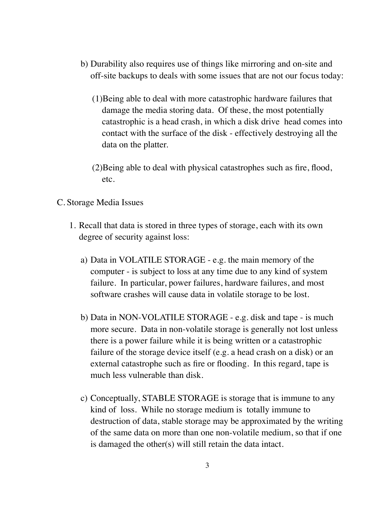- b) Durability also requires use of things like mirroring and on-site and off-site backups to deals with some issues that are not our focus today:
	- (1)Being able to deal with more catastrophic hardware failures that damage the media storing data. Of these, the most potentially catastrophic is a head crash, in which a disk drive head comes into contact with the surface of the disk - effectively destroying all the data on the platter.
	- (2)Being able to deal with physical catastrophes such as fire, flood, etc.

### C. Storage Media Issues

- 1. Recall that data is stored in three types of storage, each with its own degree of security against loss:
	- a) Data in VOLATILE STORAGE e.g. the main memory of the computer - is subject to loss at any time due to any kind of system failure. In particular, power failures, hardware failures, and most software crashes will cause data in volatile storage to be lost.
	- b) Data in NON-VOLATILE STORAGE e.g. disk and tape is much more secure. Data in non-volatile storage is generally not lost unless there is a power failure while it is being written or a catastrophic failure of the storage device itself (e.g. a head crash on a disk) or an external catastrophe such as fire or flooding. In this regard, tape is much less vulnerable than disk.
	- c) Conceptually, STABLE STORAGE is storage that is immune to any kind of loss. While no storage medium is totally immune to destruction of data, stable storage may be approximated by the writing of the same data on more than one non-volatile medium, so that if one is damaged the other(s) will still retain the data intact.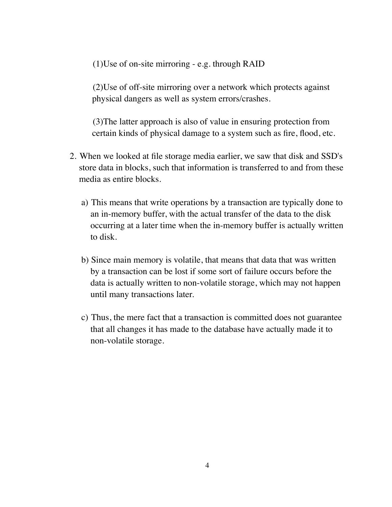(1)Use of on-site mirroring - e.g. through RAID

(2)Use of off-site mirroring over a network which protects against physical dangers as well as system errors/crashes.

(3)The latter approach is also of value in ensuring protection from certain kinds of physical damage to a system such as fire, flood, etc.

- 2. When we looked at file storage media earlier, we saw that disk and SSD's store data in blocks, such that information is transferred to and from these media as entire blocks.
	- a) This means that write operations by a transaction are typically done to an in-memory buffer, with the actual transfer of the data to the disk occurring at a later time when the in-memory buffer is actually written to disk.
	- b) Since main memory is volatile, that means that data that was written by a transaction can be lost if some sort of failure occurs before the data is actually written to non-volatile storage, which may not happen until many transactions later.
	- c) Thus, the mere fact that a transaction is committed does not guarantee that all changes it has made to the database have actually made it to non-volatile storage.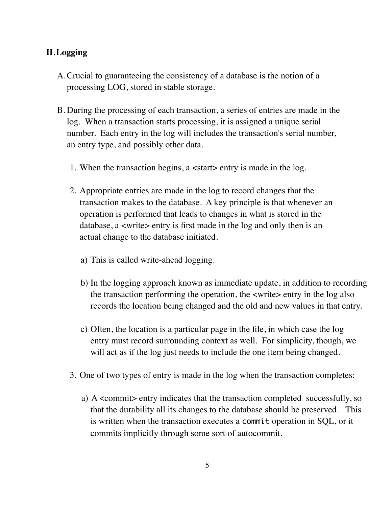# **II.Logging**

- A.Crucial to guaranteeing the consistency of a database is the notion of a processing LOG, stored in stable storage.
- B. During the processing of each transaction, a series of entries are made in the log. When a transaction starts processing, it is assigned a unique serial number. Each entry in the log will includes the transaction's serial number, an entry type, and possibly other data.
	- 1. When the transaction begins, a <start> entry is made in the log.
	- 2. Appropriate entries are made in the log to record changes that the transaction makes to the database. A key principle is that whenever an operation is performed that leads to changes in what is stored in the database, a <write> entry is <u>first</u> made in the log and only then is an actual change to the database initiated.
		- a) This is called write-ahead logging.
		- b) In the logging approach known as immediate update, in addition to recording the transaction performing the operation, the <write> entry in the log also records the location being changed and the old and new values in that entry.
		- c) Often, the location is a particular page in the file, in which case the log entry must record surrounding context as well. For simplicity, though, we will act as if the log just needs to include the one item being changed.
	- 3. One of two types of entry is made in the log when the transaction completes:
		- a) A <commit> entry indicates that the transaction completed successfully, so that the durability all its changes to the database should be preserved. This is written when the transaction executes a commit operation in SQL, or it commits implicitly through some sort of autocommit.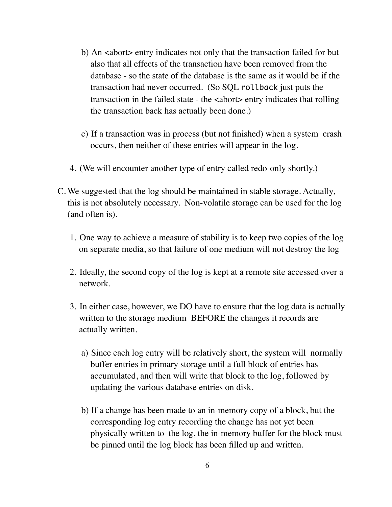- b) An <abort> entry indicates not only that the transaction failed for but also that all effects of the transaction have been removed from the database - so the state of the database is the same as it would be if the transaction had never occurred. (So SQL rollback just puts the transaction in the failed state - the <abort> entry indicates that rolling the transaction back has actually been done.)
- c) If a transaction was in process (but not finished) when a system crash occurs, then neither of these entries will appear in the log.
- 4. (We will encounter another type of entry called redo-only shortly.)
- C. We suggested that the log should be maintained in stable storage. Actually, this is not absolutely necessary. Non-volatile storage can be used for the log (and often is).
	- 1. One way to achieve a measure of stability is to keep two copies of the log on separate media, so that failure of one medium will not destroy the log
	- 2. Ideally, the second copy of the log is kept at a remote site accessed over a network.
	- 3. In either case, however, we DO have to ensure that the log data is actually written to the storage medium BEFORE the changes it records are actually written.
		- a) Since each log entry will be relatively short, the system will normally buffer entries in primary storage until a full block of entries has accumulated, and then will write that block to the log, followed by updating the various database entries on disk.
		- b) If a change has been made to an in-memory copy of a block, but the corresponding log entry recording the change has not yet been physically written to the log, the in-memory buffer for the block must be pinned until the log block has been filled up and written.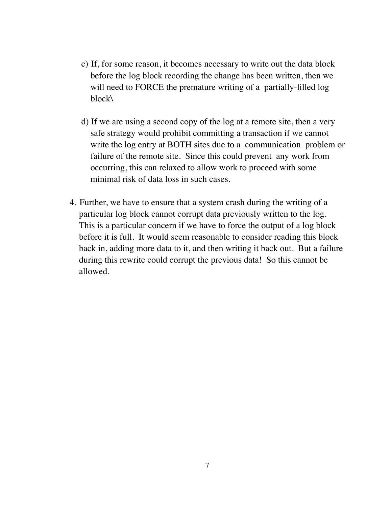- c) If, for some reason, it becomes necessary to write out the data block before the log block recording the change has been written, then we will need to FORCE the premature writing of a partially-filled log block\
- d) If we are using a second copy of the log at a remote site, then a very safe strategy would prohibit committing a transaction if we cannot write the log entry at BOTH sites due to a communication problem or failure of the remote site. Since this could prevent any work from occurring, this can relaxed to allow work to proceed with some minimal risk of data loss in such cases.
- 4. Further, we have to ensure that a system crash during the writing of a particular log block cannot corrupt data previously written to the log. This is a particular concern if we have to force the output of a log block before it is full. It would seem reasonable to consider reading this block back in, adding more data to it, and then writing it back out. But a failure during this rewrite could corrupt the previous data! So this cannot be allowed.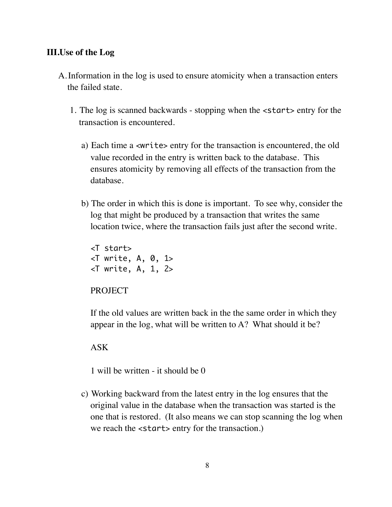### **III.Use of the Log**

- A.Information in the log is used to ensure atomicity when a transaction enters the failed state.
	- 1. The log is scanned backwards stopping when the <start> entry for the transaction is encountered.
		- a) Each time a <write> entry for the transaction is encountered, the old value recorded in the entry is written back to the database. This ensures atomicity by removing all effects of the transaction from the database.
		- b) The order in which this is done is important. To see why, consider the log that might be produced by a transaction that writes the same location twice, where the transaction fails just after the second write.

<T start>  $\leq$ T write, A, 0, 1>  $\leq$ T write, A, 1, 2>

**PROJECT** 

If the old values are written back in the the same order in which they appear in the log, what will be written to A? What should it be?

ASK

1 will be written - it should be 0

c) Working backward from the latest entry in the log ensures that the original value in the database when the transaction was started is the one that is restored. (It also means we can stop scanning the log when we reach the  $\langle$ start> entry for the transaction.)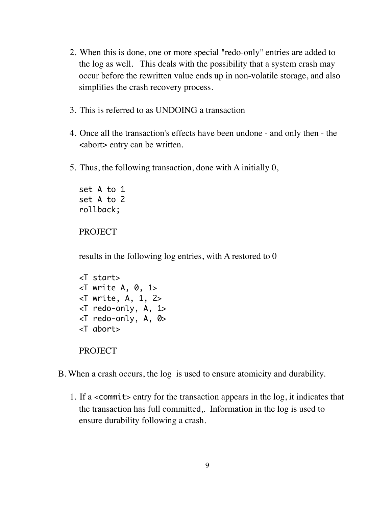- 2. When this is done, one or more special "redo-only" entries are added to the log as well. This deals with the possibility that a system crash may occur before the rewritten value ends up in non-volatile storage, and also simplifies the crash recovery process.
- 3. This is referred to as UNDOING a transaction
- 4. Once all the transaction's effects have been undone and only then the <abort> entry can be written.
- 5. Thus, the following transaction, done with A initially 0,

set A to 1 set A to 2 rollback;

#### PROJECT

results in the following log entries, with A restored to 0

```
<T start>
\ltT write A, 0, 1>
\ltT write, A, 1, 2>
<T redo-only, A, 1>
\ltT redo-only, A, 0>
<T abort>
PROJECT
```
- B. When a crash occurs, the log is used to ensure atomicity and durability.
	- 1. If a <commit> entry for the transaction appears in the log, it indicates that the transaction has full committed,. Information in the log is used to ensure durability following a crash.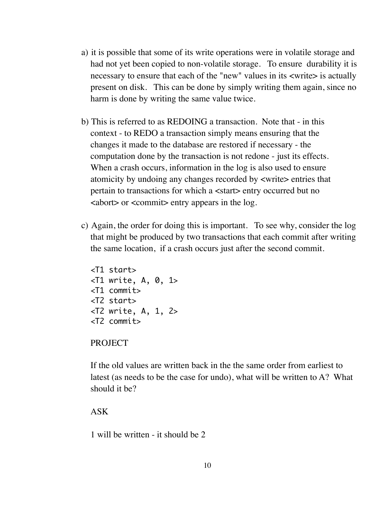- a) it is possible that some of its write operations were in volatile storage and had not yet been copied to non-volatile storage. To ensure durability it is necessary to ensure that each of the "new" values in its <write> is actually present on disk. This can be done by simply writing them again, since no harm is done by writing the same value twice.
- b) This is referred to as REDOING a transaction. Note that in this context - to REDO a transaction simply means ensuring that the changes it made to the database are restored if necessary - the computation done by the transaction is not redone - just its effects. When a crash occurs, information in the log is also used to ensure atomicity by undoing any changes recorded by <write> entries that pertain to transactions for which a <start> entry occurred but no  $\lt$ abort $>$  or  $\lt$ commit $>$ entry appears in the log.
- c) Again, the order for doing this is important. To see why, consider the log that might be produced by two transactions that each commit after writing the same location, if a crash occurs just after the second commit.

```
<T1 start>
\ltT1 write, A, 0, 1>
<T1 commit>
<T2 start>
<T2 write, A, 1, 2>
<T2 commit>
```
#### PROJECT

If the old values are written back in the the same order from earliest to latest (as needs to be the case for undo), what will be written to A? What should it be?

#### ASK

1 will be written - it should be 2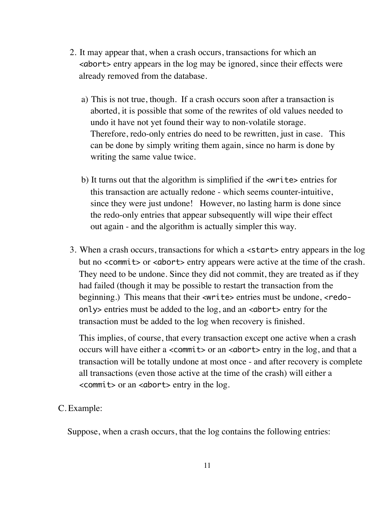- 2. It may appear that, when a crash occurs, transactions for which an <abort> entry appears in the log may be ignored, since their effects were already removed from the database.
	- a) This is not true, though. If a crash occurs soon after a transaction is aborted, it is possible that some of the rewrites of old values needed to undo it have not yet found their way to non-volatile storage. Therefore, redo-only entries do need to be rewritten, just in case. This can be done by simply writing them again, since no harm is done by writing the same value twice.
	- b) It turns out that the algorithm is simplified if the <write> entries for this transaction are actually redone - which seems counter-intuitive, since they were just undone! However, no lasting harm is done since the redo-only entries that appear subsequently will wipe their effect out again - and the algorithm is actually simpler this way.
- 3. When a crash occurs, transactions for which a <start> entry appears in the log but no <commit> or <abort> entry appears were active at the time of the crash. They need to be undone. Since they did not commit, they are treated as if they had failed (though it may be possible to restart the transaction from the beginning.) This means that their <write> entries must be undone, <redoonly> entries must be added to the log, and an <abort> entry for the transaction must be added to the log when recovery is finished.

This implies, of course, that every transaction except one active when a crash occurs will have either a <commit> or an <abort> entry in the log, and that a transaction will be totally undone at most once - and after recovery is complete all transactions (even those active at the time of the crash) will either a  $\leq$  commits or an  $\leq$  dborts entry in the log.

#### C. Example:

Suppose, when a crash occurs, that the log contains the following entries: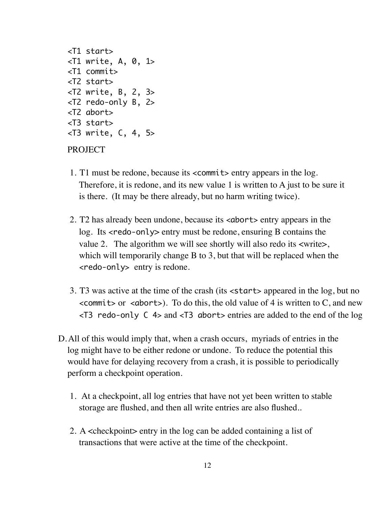```
<T1 start>
\ltT1 write, A, 0, 1>
<T1 commit>
<T2 start>
<T2 write, B, 2, 3>
<T2 redo-only B, 2>
<T2 abort>
<T3 start>
<T3 write, C, 4, 5>
```
#### PROJECT

- 1. T1 must be redone, because its <commit> entry appears in the log. Therefore, it is redone, and its new value 1 is written to A just to be sure it is there. (It may be there already, but no harm writing twice).
- 2. T2 has already been undone, because its <abort> entry appears in the log. Its <redo-only> entry must be redone, ensuring B contains the value 2. The algorithm we will see shortly will also redo its <write>, which will temporarily change B to 3, but that will be replaced when the <redo-only> entry is redone.
- 3. T3 was active at the time of the crash (its <start> appeared in the log, but no  $\leq$  commits or  $\leq$  aborts). To do this, the old value of 4 is written to C, and new  $\le$ T3 redo-only C 4> and  $\le$ T3 abort> entries are added to the end of the log
- D.All of this would imply that, when a crash occurs, myriads of entries in the log might have to be either redone or undone. To reduce the potential this would have for delaying recovery from a crash, it is possible to periodically perform a checkpoint operation.
	- 1. At a checkpoint, all log entries that have not yet been written to stable storage are flushed, and then all write entries are also flushed..
	- 2. A <checkpoint> entry in the log can be added containing a list of transactions that were active at the time of the checkpoint.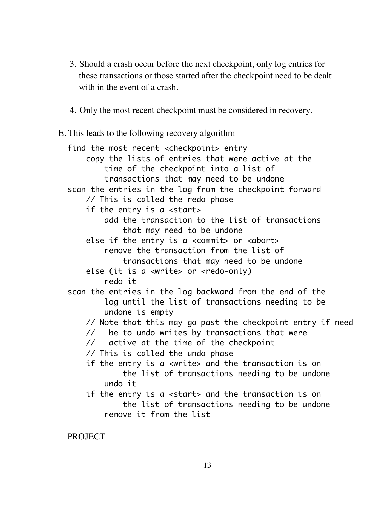- 3. Should a crash occur before the next checkpoint, only log entries for these transactions or those started after the checkpoint need to be dealt with in the event of a crash.
- 4. Only the most recent checkpoint must be considered in recovery.
- E. This leads to the following recovery algorithm

```
find the most recent <checkpoint> entry
     copy the lists of entries that were active at the
         time of the checkpoint into a list of 
         transactions that may need to be undone
scan the entries in the log from the checkpoint forward
    // This is called the redo phase
     if the entry is a <start>
         add the transaction to the list of transactions
             that may need to be undone
     else if the entry is a <commit> or <abort>
         remove the transaction from the list of 
             transactions that may need to be undone
     else (it is a <write> or <redo-only)
         redo it
scan the entries in the log backward from the end of the
         log until the list of transactions needing to be
         undone is empty
    // Note that this may go past the checkpoint entry if need
    // be to undo writes by transactions that were
    // active at the time of the checkpoint
    // This is called the undo phase
     if the entry is a <write> and the transaction is on
             the list of transactions needing to be undone
         undo it
    if the entry is a <start> and the transaction is on
             the list of transactions needing to be undone 
         remove it from the list
```
**PROJECT**